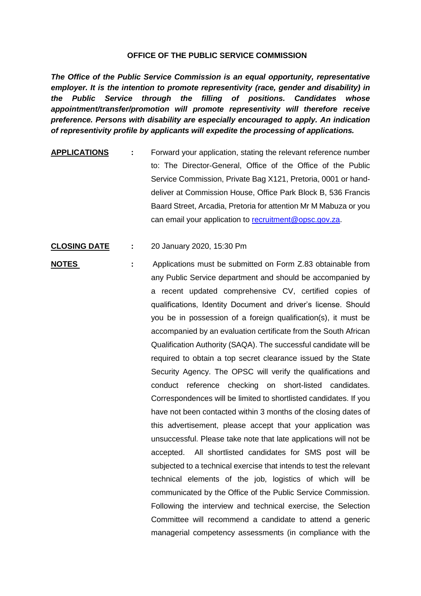## **OFFICE OF THE PUBLIC SERVICE COMMISSION**

*The Office of the Public Service Commission is an equal opportunity, representative employer. It is the intention to promote representivity (race, gender and disability) in the Public Service through the filling of positions. Candidates whose appointment/transfer/promotion will promote representivity will therefore receive preference. Persons with disability are especially encouraged to apply. An indication of representivity profile by applicants will expedite the processing of applications.*

- **APPLICATIONS :** Forward your application, stating the relevant reference number to: The Director-General, Office of the Office of the Public Service Commission, Private Bag X121, Pretoria, 0001 or handdeliver at Commission House, Office Park Block B, 536 Francis Baard Street, Arcadia, Pretoria for attention Mr M Mabuza or you can email your application to [recruitment@opsc.gov.za.](mailto:recruitment@opsc.gov.za)
- **CLOSING DATE :** 20 January 2020, 15:30 Pm
- **NOTES** : Applications must be submitted on Form Z.83 obtainable from any Public Service department and should be accompanied by a recent updated comprehensive CV, certified copies of qualifications, Identity Document and driver's license. Should you be in possession of a foreign qualification(s), it must be accompanied by an evaluation certificate from the South African Qualification Authority (SAQA). The successful candidate will be required to obtain a top secret clearance issued by the State Security Agency. The OPSC will verify the qualifications and conduct reference checking on short-listed candidates. Correspondences will be limited to shortlisted candidates. If you have not been contacted within 3 months of the closing dates of this advertisement, please accept that your application was unsuccessful. Please take note that late applications will not be accepted. All shortlisted candidates for SMS post will be subjected to a technical exercise that intends to test the relevant technical elements of the job, logistics of which will be communicated by the Office of the Public Service Commission. Following the interview and technical exercise, the Selection Committee will recommend a candidate to attend a generic managerial competency assessments (in compliance with the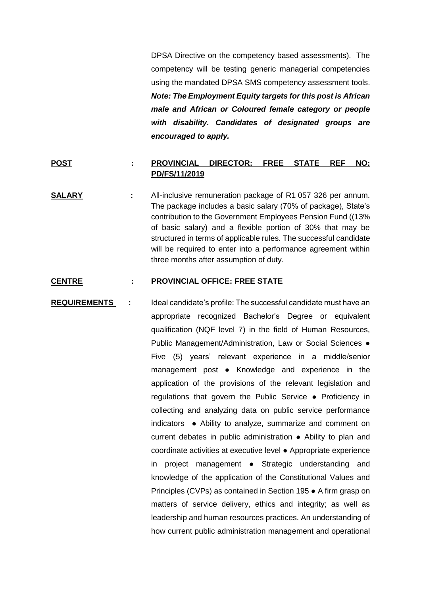DPSA Directive on the competency based assessments). The competency will be testing generic managerial competencies using the mandated DPSA SMS competency assessment tools. *Note: The Employment Equity targets for this post is African male and African or Coloured female category or people with disability. Candidates of designated groups are encouraged to apply.*

## **POST : PROVINCIAL DIRECTOR: FREE STATE REF NO: PD/FS/11/2019**

**SALARY :** All-inclusive remuneration package of R1 057 326 per annum. The package includes a basic salary (70% of package), State's contribution to the Government Employees Pension Fund ((13% of basic salary) and a flexible portion of 30% that may be structured in terms of applicable rules. The successful candidate will be required to enter into a performance agreement within three months after assumption of duty.

## **CENTRE : PROVINCIAL OFFICE: FREE STATE**

**REQUIREMENTS :** Ideal candidate's profile: The successful candidate must have an appropriate recognized Bachelor's Degree or equivalent qualification (NQF level 7) in the field of Human Resources, Public Management/Administration, Law or Social Sciences ● Five (5) years' relevant experience in a middle/senior management post ● Knowledge and experience in the application of the provisions of the relevant legislation and regulations that govern the Public Service ● Proficiency in collecting and analyzing data on public service performance indicators ● Ability to analyze, summarize and comment on current debates in public administration ● Ability to plan and coordinate activities at executive level ● Appropriate experience in project management ● Strategic understanding and knowledge of the application of the Constitutional Values and Principles (CVPs) as contained in Section 195 ● A firm grasp on matters of service delivery, ethics and integrity; as well as leadership and human resources practices. An understanding of how current public administration management and operational